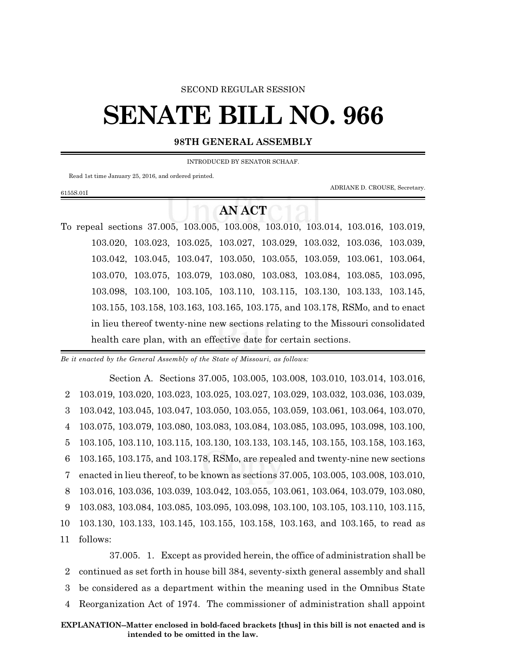#### SECOND REGULAR SESSION

# **SENATE BILL NO. 966**

### **98TH GENERAL ASSEMBLY**

INTRODUCED BY SENATOR SCHAAF.

Read 1st time January 25, 2016, and ordered printed.

6155S.01I

ADRIANE D. CROUSE, Secretary.

## **AN ACT**

To repeal sections 37.005, 103.005, 103.008, 103.010, 103.014, 103.016, 103.019, 103.020, 103.023, 103.025, 103.027, 103.029, 103.032, 103.036, 103.039, 103.042, 103.045, 103.047, 103.050, 103.055, 103.059, 103.061, 103.064, 103.070, 103.075, 103.079, 103.080, 103.083, 103.084, 103.085, 103.095, 103.098, 103.100, 103.105, 103.110, 103.115, 103.130, 103.133, 103.145, 103.155, 103.158, 103.163, 103.165, 103.175, and 103.178, RSMo, and to enact in lieu thereof twenty-nine new sections relating to the Missouri consolidated health care plan, with an effective date for certain sections.

*Be it enacted by the General Assembly of the State of Missouri, as follows:*

Section A. Sections 37.005, 103.005, 103.008, 103.010, 103.014, 103.016, 103.019, 103.020, 103.023, 103.025, 103.027, 103.029, 103.032, 103.036, 103.039, 103.042, 103.045, 103.047, 103.050, 103.055, 103.059, 103.061, 103.064, 103.070, 103.075, 103.079, 103.080, 103.083, 103.084, 103.085, 103.095, 103.098, 103.100, 103.105, 103.110, 103.115, 103.130, 103.133, 103.145, 103.155, 103.158, 103.163, 103.165, 103.175, and 103.178, RSMo, are repealed and twenty-nine new sections enacted in lieu thereof, to be known as sections 37.005, 103.005, 103.008, 103.010, 103.016, 103.036, 103.039, 103.042, 103.055, 103.061, 103.064, 103.079, 103.080, 103.083, 103.084, 103.085, 103.095, 103.098, 103.100, 103.105, 103.110, 103.115, 103.130, 103.133, 103.145, 103.155, 103.158, 103.163, and 103.165, to read as 11 follows:

37.005. 1. Except as provided herein, the office of administration shall be continued as set forth in house bill 384, seventy-sixth general assembly and shall be considered as a department within the meaning used in the Omnibus State Reorganization Act of 1974. The commissioner of administration shall appoint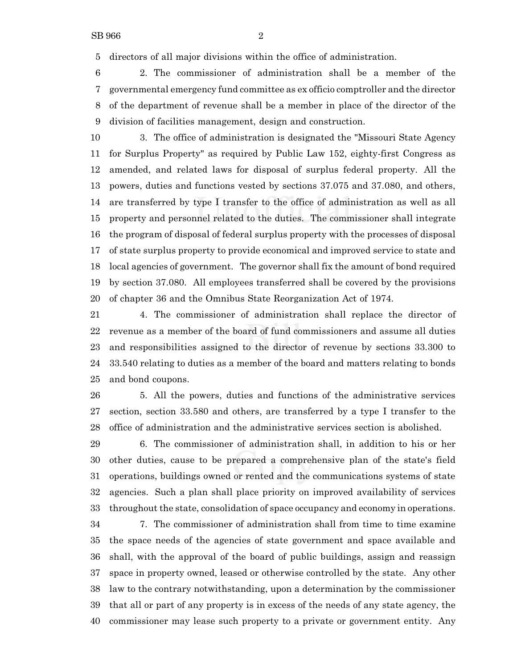directors of all major divisions within the office of administration.

 2. The commissioner of administration shall be a member of the governmental emergency fund committee as ex officio comptroller and the director of the department of revenue shall be a member in place of the director of the division of facilities management, design and construction.

 3. The office of administration is designated the "Missouri State Agency for Surplus Property" as required by Public Law 152, eighty-first Congress as amended, and related laws for disposal of surplus federal property. All the powers, duties and functions vested by sections 37.075 and 37.080, and others, are transferred by type I transfer to the office of administration as well as all property and personnel related to the duties. The commissioner shall integrate the program of disposal of federal surplus property with the processes of disposal of state surplus property to provide economical and improved service to state and local agencies of government. The governor shall fix the amount of bond required by section 37.080. All employees transferred shall be covered by the provisions of chapter 36 and the Omnibus State Reorganization Act of 1974.

 4. The commissioner of administration shall replace the director of revenue as a member of the board of fund commissioners and assume all duties and responsibilities assigned to the director of revenue by sections 33.300 to 33.540 relating to duties as a member of the board and matters relating to bonds and bond coupons.

 5. All the powers, duties and functions of the administrative services section, section 33.580 and others, are transferred by a type I transfer to the office of administration and the administrative services section is abolished.

 6. The commissioner of administration shall, in addition to his or her other duties, cause to be prepared a comprehensive plan of the state's field operations, buildings owned or rented and the communications systems of state agencies. Such a plan shall place priority on improved availability of services throughout the state, consolidation of space occupancy and economy in operations.

 7. The commissioner of administration shall from time to time examine the space needs of the agencies of state government and space available and shall, with the approval of the board of public buildings, assign and reassign space in property owned, leased or otherwise controlled by the state. Any other law to the contrary notwithstanding, upon a determination by the commissioner that all or part of any property is in excess of the needs of any state agency, the commissioner may lease such property to a private or government entity. Any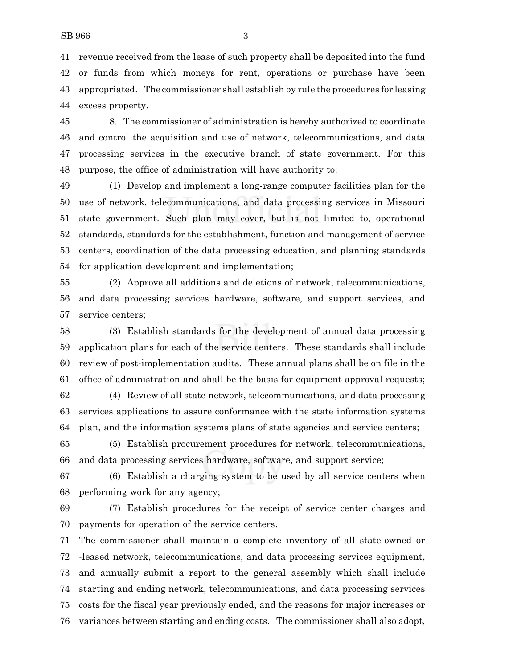revenue received from the lease of such property shall be deposited into the fund or funds from which moneys for rent, operations or purchase have been appropriated. The commissioner shall establish by rule the procedures for leasing excess property.

 8. The commissioner of administration is hereby authorized to coordinate and control the acquisition and use of network, telecommunications, and data processing services in the executive branch of state government. For this purpose, the office of administration will have authority to:

 (1) Develop and implement a long-range computer facilities plan for the use of network, telecommunications, and data processing services in Missouri state government. Such plan may cover, but is not limited to, operational standards, standards for the establishment, function and management of service centers, coordination of the data processing education, and planning standards for application development and implementation;

 (2) Approve all additions and deletions of network, telecommunications, and data processing services hardware, software, and support services, and service centers;

 (3) Establish standards for the development of annual data processing application plans for each of the service centers. These standards shall include review of post-implementation audits. These annual plans shall be on file in the office of administration and shall be the basis for equipment approval requests;

 (4) Review of all state network, telecommunications, and data processing services applications to assure conformance with the state information systems plan, and the information systems plans of state agencies and service centers;

 (5) Establish procurement procedures for network, telecommunications, and data processing services hardware, software, and support service;

 (6) Establish a charging system to be used by all service centers when performing work for any agency;

 (7) Establish procedures for the receipt of service center charges and payments for operation of the service centers.

 The commissioner shall maintain a complete inventory of all state-owned or -leased network, telecommunications, and data processing services equipment, and annually submit a report to the general assembly which shall include starting and ending network, telecommunications, and data processing services costs for the fiscal year previously ended, and the reasons for major increases or variances between starting and ending costs. The commissioner shall also adopt,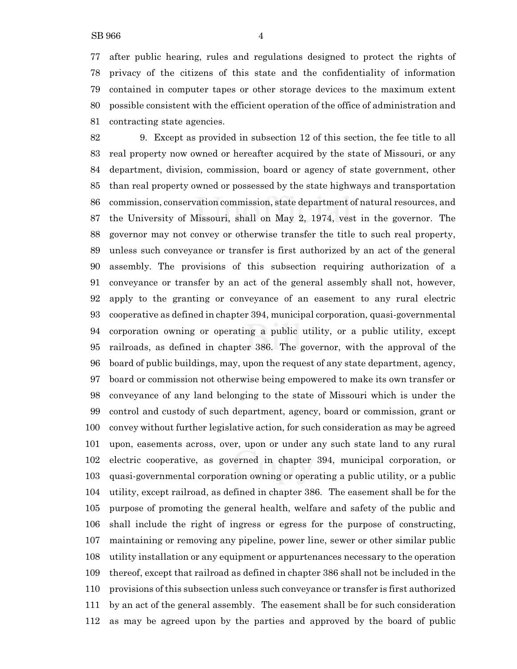after public hearing, rules and regulations designed to protect the rights of privacy of the citizens of this state and the confidentiality of information contained in computer tapes or other storage devices to the maximum extent possible consistent with the efficient operation of the office of administration and contracting state agencies.

 9. Except as provided in subsection 12 of this section, the fee title to all real property now owned or hereafter acquired by the state of Missouri, or any department, division, commission, board or agency of state government, other than real property owned or possessed by the state highways and transportation commission, conservation commission, state department of natural resources, and the University of Missouri, shall on May 2, 1974, vest in the governor. The governor may not convey or otherwise transfer the title to such real property, unless such conveyance or transfer is first authorized by an act of the general assembly. The provisions of this subsection requiring authorization of a conveyance or transfer by an act of the general assembly shall not, however, apply to the granting or conveyance of an easement to any rural electric cooperative as defined in chapter 394, municipal corporation, quasi-governmental corporation owning or operating a public utility, or a public utility, except railroads, as defined in chapter 386. The governor, with the approval of the board of public buildings, may, upon the request of any state department, agency, board or commission not otherwise being empowered to make its own transfer or conveyance of any land belonging to the state of Missouri which is under the control and custody of such department, agency, board or commission, grant or convey without further legislative action, for such consideration as may be agreed upon, easements across, over, upon or under any such state land to any rural electric cooperative, as governed in chapter 394, municipal corporation, or quasi-governmental corporation owning or operating a public utility, or a public utility, except railroad, as defined in chapter 386. The easement shall be for the purpose of promoting the general health, welfare and safety of the public and shall include the right of ingress or egress for the purpose of constructing, maintaining or removing any pipeline, power line, sewer or other similar public utility installation or any equipment or appurtenances necessary to the operation thereof, except that railroad as defined in chapter 386 shall not be included in the provisions ofthis subsection unless such conveyance or transfer is first authorized by an act of the general assembly. The easement shall be for such consideration as may be agreed upon by the parties and approved by the board of public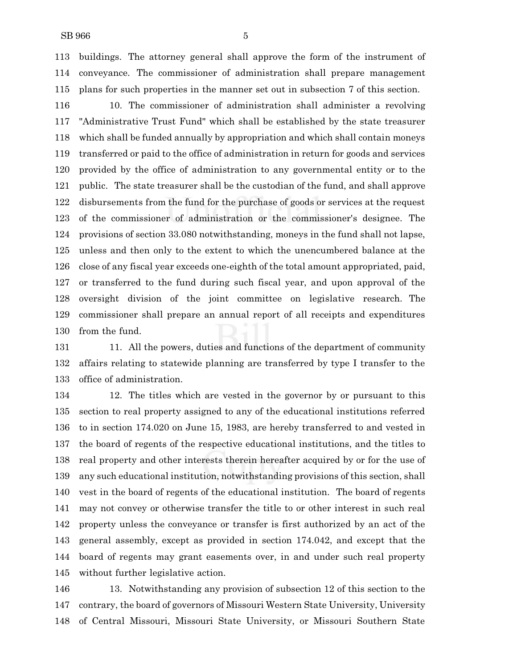buildings. The attorney general shall approve the form of the instrument of conveyance. The commissioner of administration shall prepare management plans for such properties in the manner set out in subsection 7 of this section.

 10. The commissioner of administration shall administer a revolving "Administrative Trust Fund" which shall be established by the state treasurer which shall be funded annually by appropriation and which shall contain moneys transferred or paid to the office of administration in return for goods and services provided by the office of administration to any governmental entity or to the public. The state treasurer shall be the custodian of the fund, and shall approve disbursements from the fund for the purchase of goods or services at the request of the commissioner of administration or the commissioner's designee. The provisions of section 33.080 notwithstanding, moneys in the fund shall not lapse, unless and then only to the extent to which the unencumbered balance at the close of any fiscal year exceeds one-eighth of the total amount appropriated, paid, or transferred to the fund during such fiscal year, and upon approval of the oversight division of the joint committee on legislative research. The commissioner shall prepare an annual report of all receipts and expenditures from the fund.

131 11. All the powers, duties and functions of the department of community affairs relating to statewide planning are transferred by type I transfer to the office of administration.

 12. The titles which are vested in the governor by or pursuant to this section to real property assigned to any of the educational institutions referred to in section 174.020 on June 15, 1983, are hereby transferred to and vested in the board of regents of the respective educational institutions, and the titles to real property and other interests therein hereafter acquired by or for the use of any such educational institution, notwithstanding provisions of this section, shall vest in the board of regents of the educational institution. The board of regents may not convey or otherwise transfer the title to or other interest in such real property unless the conveyance or transfer is first authorized by an act of the general assembly, except as provided in section 174.042, and except that the board of regents may grant easements over, in and under such real property without further legislative action.

 13. Notwithstanding any provision of subsection 12 of this section to the contrary, the board of governors of Missouri Western State University, University of Central Missouri, Missouri State University, or Missouri Southern State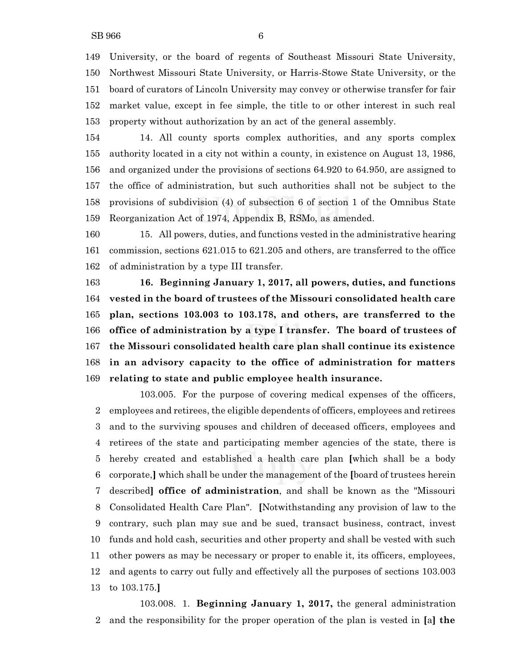University, or the board of regents of Southeast Missouri State University, Northwest Missouri State University, or Harris-Stowe State University, or the board of curators of Lincoln University may convey or otherwise transfer for fair market value, except in fee simple, the title to or other interest in such real property without authorization by an act of the general assembly.

 14. All county sports complex authorities, and any sports complex authority located in a city not within a county, in existence on August 13, 1986, and organized under the provisions of sections 64.920 to 64.950, are assigned to the office of administration, but such authorities shall not be subject to the provisions of subdivision (4) of subsection 6 of section 1 of the Omnibus State Reorganization Act of 1974, Appendix B, RSMo, as amended.

 15. All powers, duties, and functions vested in the administrative hearing commission, sections 621.015 to 621.205 and others, are transferred to the office of administration by a type III transfer.

 **16. Beginning January 1, 2017, all powers, duties, and functions vested in the board of trustees of the Missouri consolidated health care plan, sections 103.003 to 103.178, and others, are transferred to the office of administration by a type I transfer. The board of trustees of the Missouri consolidated health care plan shall continue its existence in an advisory capacity to the office of administration for matters relating to state and public employee health insurance.**

103.005. For the purpose of covering medical expenses of the officers, employees and retirees, the eligible dependents of officers, employees and retirees and to the surviving spouses and children of deceased officers, employees and retirees of the state and participating member agencies of the state, there is hereby created and established a health care plan **[**which shall be a body corporate,**]** which shall be under the management of the **[**board of trustees herein described**] office of administration**, and shall be known as the "Missouri Consolidated Health Care Plan". **[**Notwithstanding any provision of law to the contrary, such plan may sue and be sued, transact business, contract, invest funds and hold cash, securities and other property and shall be vested with such other powers as may be necessary or proper to enable it, its officers, employees, and agents to carry out fully and effectively all the purposes of sections 103.003 to 103.175.**]**

103.008. 1. **Beginning January 1, 2017,** the general administration and the responsibility for the proper operation of the plan is vested in **[**a**] the**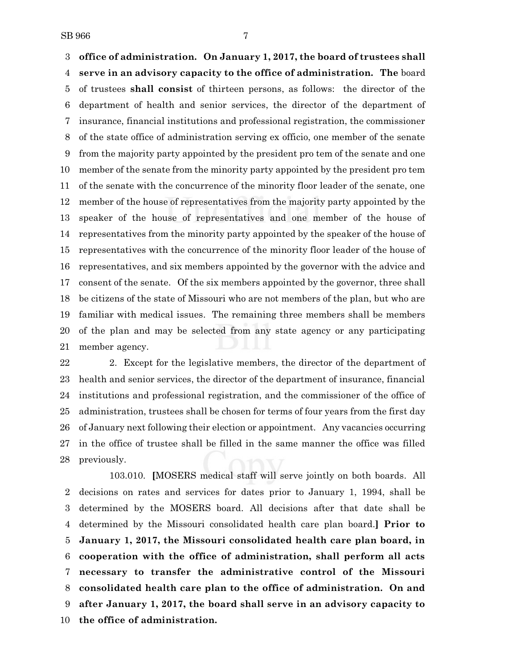**office of administration. On January 1, 2017, the board of trustees shall serve in an advisory capacity to the office of administration. The** board of trustees **shall consist** of thirteen persons, as follows: the director of the department of health and senior services, the director of the department of insurance, financial institutions and professional registration, the commissioner of the state office of administration serving ex officio, one member of the senate from the majority party appointed by the president pro tem of the senate and one member of the senate from the minority party appointed by the president pro tem of the senate with the concurrence of the minority floor leader of the senate, one member of the house of representatives from the majority party appointed by the speaker of the house of representatives and one member of the house of representatives from the minority party appointed by the speaker of the house of representatives with the concurrence of the minority floor leader of the house of representatives, and six members appointed by the governor with the advice and consent of the senate. Of the six members appointed by the governor, three shall be citizens of the state of Missouri who are not members of the plan, but who are familiar with medical issues. The remaining three members shall be members of the plan and may be selected from any state agency or any participating member agency.

22 2. Except for the legislative members, the director of the department of health and senior services, the director of the department of insurance, financial institutions and professional registration, and the commissioner of the office of administration, trustees shall be chosen for terms of four years from the first day of January next following their election or appointment. Any vacancies occurring in the office of trustee shall be filled in the same manner the office was filled previously.

103.010. **[**MOSERS medical staff will serve jointly on both boards. All decisions on rates and services for dates prior to January 1, 1994, shall be determined by the MOSERS board. All decisions after that date shall be determined by the Missouri consolidated health care plan board.**] Prior to January 1, 2017, the Missouri consolidated health care plan board, in cooperation with the office of administration, shall perform all acts necessary to transfer the administrative control of the Missouri consolidated health care plan to the office of administration. On and after January 1, 2017, the board shall serve in an advisory capacity to the office of administration.**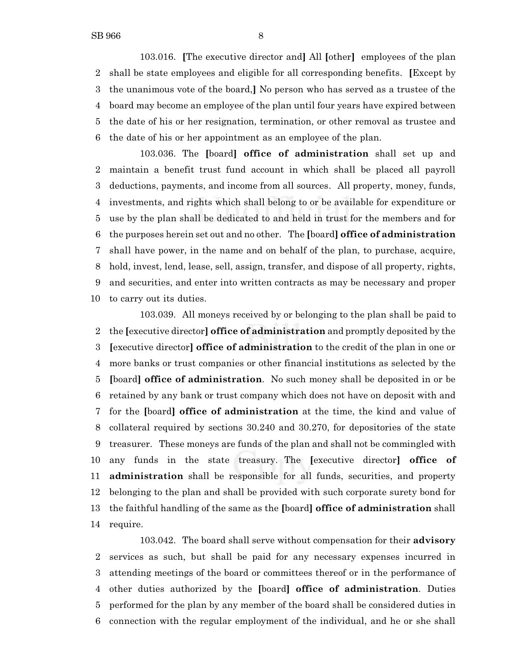103.016. **[**The executive director and**]** All **[**other**]** employees of the plan shall be state employees and eligible for all corresponding benefits. **[**Except by the unanimous vote of the board,**]** No person who has served as a trustee of the board may become an employee of the plan until four years have expired between the date of his or her resignation, termination, or other removal as trustee and the date of his or her appointment as an employee of the plan.

103.036. The **[**board**] office of administration** shall set up and maintain a benefit trust fund account in which shall be placed all payroll deductions, payments, and income from all sources. All property, money, funds, investments, and rights which shall belong to or be available for expenditure or use by the plan shall be dedicated to and held in trust for the members and for the purposes herein set out and no other. The **[**board**] office of administration** shall have power, in the name and on behalf of the plan, to purchase, acquire, hold, invest, lend, lease, sell, assign, transfer, and dispose of all property, rights, and securities, and enter into written contracts as may be necessary and proper to carry out its duties.

103.039. All moneys received by or belonging to the plan shall be paid to the **[**executive director**] office of administration** and promptly deposited by the **[**executive director**] office of administration** to the credit of the plan in one or more banks or trust companies or other financial institutions as selected by the **[**board**] office of administration**. No such money shall be deposited in or be retained by any bank or trust company which does not have on deposit with and for the **[**board**] office of administration** at the time, the kind and value of collateral required by sections 30.240 and 30.270, for depositories of the state treasurer. These moneys are funds of the plan and shall not be commingled with any funds in the state treasury. The **[**executive director**] office of administration** shall be responsible for all funds, securities, and property belonging to the plan and shall be provided with such corporate surety bond for the faithful handling of the same as the **[**board**] office of administration** shall require.

103.042. The board shall serve without compensation for their **advisory** services as such, but shall be paid for any necessary expenses incurred in attending meetings of the board or committees thereof or in the performance of other duties authorized by the **[**board**] office of administration**. Duties performed for the plan by any member of the board shall be considered duties in connection with the regular employment of the individual, and he or she shall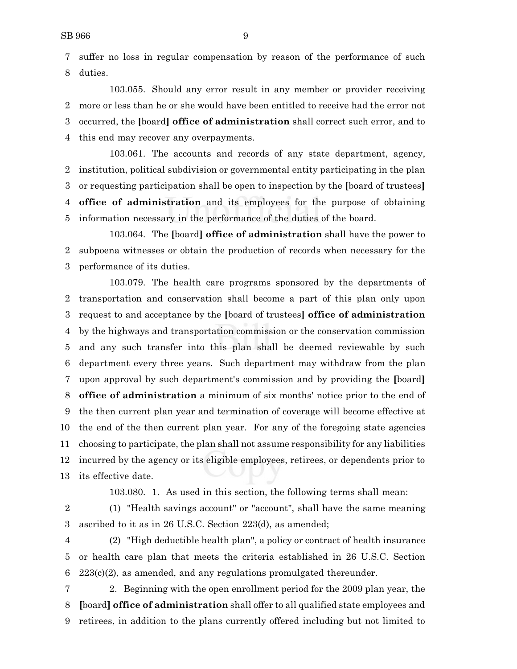suffer no loss in regular compensation by reason of the performance of such duties.

103.055. Should any error result in any member or provider receiving more or less than he or she would have been entitled to receive had the error not occurred, the **[**board**] office of administration** shall correct such error, and to this end may recover any overpayments.

103.061. The accounts and records of any state department, agency, institution, political subdivision or governmental entity participating in the plan or requesting participation shall be open to inspection by the **[**board of trustees**] office of administration** and its employees for the purpose of obtaining information necessary in the performance of the duties of the board.

103.064. The **[**board**] office of administration** shall have the power to subpoena witnesses or obtain the production of records when necessary for the performance of its duties.

103.079. The health care programs sponsored by the departments of transportation and conservation shall become a part of this plan only upon request to and acceptance by the **[**board of trustees**] office of administration** by the highways and transportation commission or the conservation commission and any such transfer into this plan shall be deemed reviewable by such department every three years. Such department may withdraw from the plan upon approval by such department's commission and by providing the **[**board**] office of administration** a minimum of six months' notice prior to the end of the then current plan year and termination of coverage will become effective at the end of the then current plan year. For any of the foregoing state agencies choosing to participate, the plan shall not assume responsibility for any liabilities incurred by the agency or its eligible employees, retirees, or dependents prior to its effective date.

- 103.080. 1. As used in this section, the following terms shall mean:
- (1) "Health savings account" or "account", shall have the same meaning ascribed to it as in 26 U.S.C. Section 223(d), as amended;

 (2) "High deductible health plan", a policy or contract of health insurance or health care plan that meets the criteria established in 26 U.S.C. Section 6  $223(c)(2)$ , as amended, and any regulations promulgated thereunder.

 2. Beginning with the open enrollment period for the 2009 plan year, the **[**board**] office of administration** shall offer to all qualified state employees and retirees, in addition to the plans currently offered including but not limited to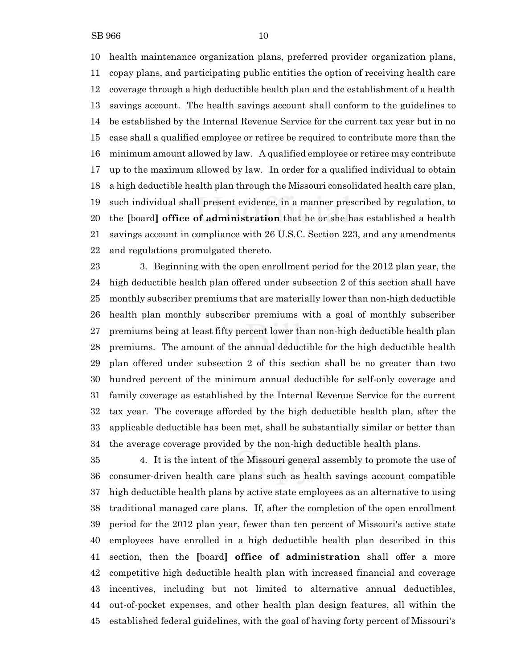health maintenance organization plans, preferred provider organization plans, copay plans, and participating public entities the option of receiving health care coverage through a high deductible health plan and the establishment of a health savings account. The health savings account shall conform to the guidelines to be established by the Internal Revenue Service for the current tax year but in no case shall a qualified employee or retiree be required to contribute more than the minimum amount allowed by law. A qualified employee or retiree may contribute up to the maximum allowed by law. In order for a qualified individual to obtain a high deductible health plan through the Missouri consolidated health care plan, such individual shall present evidence, in a manner prescribed by regulation, to the **[**board**] office of administration** that he or she has established a health savings account in compliance with 26 U.S.C. Section 223, and any amendments and regulations promulgated thereto.

 3. Beginning with the open enrollment period for the 2012 plan year, the high deductible health plan offered under subsection 2 of this section shall have monthly subscriber premiums that are materially lower than non-high deductible health plan monthly subscriber premiums with a goal of monthly subscriber premiums being at least fifty percent lower than non-high deductible health plan premiums. The amount of the annual deductible for the high deductible health plan offered under subsection 2 of this section shall be no greater than two hundred percent of the minimum annual deductible for self-only coverage and family coverage as established by the Internal Revenue Service for the current tax year. The coverage afforded by the high deductible health plan, after the applicable deductible has been met, shall be substantially similar or better than the average coverage provided by the non-high deductible health plans.

 4. It is the intent of the Missouri general assembly to promote the use of consumer-driven health care plans such as health savings account compatible high deductible health plans by active state employees as an alternative to using traditional managed care plans. If, after the completion of the open enrollment period for the 2012 plan year, fewer than ten percent of Missouri's active state employees have enrolled in a high deductible health plan described in this section, then the **[**board**] office of administration** shall offer a more competitive high deductible health plan with increased financial and coverage incentives, including but not limited to alternative annual deductibles, out-of-pocket expenses, and other health plan design features, all within the established federal guidelines, with the goal of having forty percent of Missouri's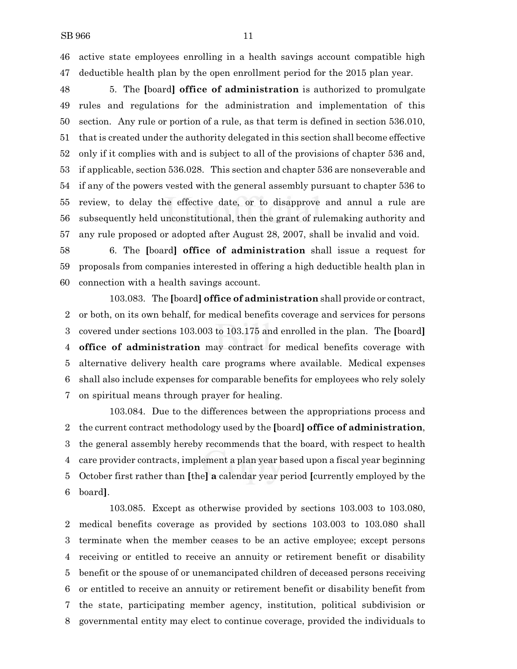active state employees enrolling in a health savings account compatible high deductible health plan by the open enrollment period for the 2015 plan year.

 5. The **[**board**] office of administration** is authorized to promulgate rules and regulations for the administration and implementation of this section. Any rule or portion of a rule, as that term is defined in section 536.010, that is created under the authority delegated in this section shall become effective only if it complies with and is subject to all of the provisions of chapter 536 and, if applicable, section 536.028. This section and chapter 536 are nonseverable and if any of the powers vested with the general assembly pursuant to chapter 536 to review, to delay the effective date, or to disapprove and annul a rule are subsequently held unconstitutional, then the grant of rulemaking authority and any rule proposed or adopted after August 28, 2007, shall be invalid and void.

 6. The **[**board**] office of administration** shall issue a request for proposals from companies interested in offering a high deductible health plan in connection with a health savings account.

103.083. The **[**board**] office of administration** shall provide or contract, or both, on its own behalf, for medical benefits coverage and services for persons covered under sections 103.003 to 103.175 and enrolled in the plan. The **[**board**] office of administration** may contract for medical benefits coverage with alternative delivery health care programs where available. Medical expenses shall also include expenses for comparable benefits for employees who rely solely on spiritual means through prayer for healing.

103.084. Due to the differences between the appropriations process and the current contract methodology used by the **[**board**] office of administration**, the general assembly hereby recommends that the board, with respect to health care provider contracts, implement a plan year based upon a fiscal year beginning October first rather than **[**the**] a** calendar year period **[**currently employed by the board**]**.

103.085. Except as otherwise provided by sections 103.003 to 103.080, medical benefits coverage as provided by sections 103.003 to 103.080 shall terminate when the member ceases to be an active employee; except persons receiving or entitled to receive an annuity or retirement benefit or disability benefit or the spouse of or unemancipated children of deceased persons receiving or entitled to receive an annuity or retirement benefit or disability benefit from the state, participating member agency, institution, political subdivision or governmental entity may elect to continue coverage, provided the individuals to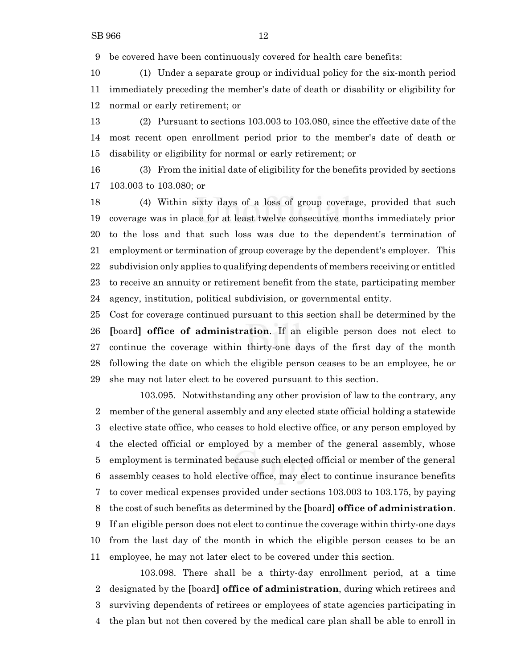be covered have been continuously covered for health care benefits:

 (1) Under a separate group or individual policy for the six-month period immediately preceding the member's date of death or disability or eligibility for normal or early retirement; or

 (2) Pursuant to sections 103.003 to 103.080, since the effective date of the most recent open enrollment period prior to the member's date of death or disability or eligibility for normal or early retirement; or

 (3) From the initial date of eligibility for the benefits provided by sections 103.003 to 103.080; or

 (4) Within sixty days of a loss of group coverage, provided that such coverage was in place for at least twelve consecutive months immediately prior to the loss and that such loss was due to the dependent's termination of employment or termination of group coverage by the dependent's employer. This subdivision only applies to qualifying dependents of members receiving or entitled to receive an annuity or retirement benefit from the state, participating member agency, institution, political subdivision, or governmental entity.

 Cost for coverage continued pursuant to this section shall be determined by the **[**board**] office of administration**. If an eligible person does not elect to continue the coverage within thirty-one days of the first day of the month following the date on which the eligible person ceases to be an employee, he or she may not later elect to be covered pursuant to this section.

103.095. Notwithstanding any other provision of law to the contrary, any member of the general assembly and any elected state official holding a statewide elective state office, who ceases to hold elective office, or any person employed by the elected official or employed by a member of the general assembly, whose employment is terminated because such elected official or member of the general assembly ceases to hold elective office, may elect to continue insurance benefits to cover medical expenses provided under sections 103.003 to 103.175, by paying the cost of such benefits as determined by the **[**board**] office of administration**. If an eligible person does not elect to continue the coverage within thirty-one days from the last day of the month in which the eligible person ceases to be an employee, he may not later elect to be covered under this section.

103.098. There shall be a thirty-day enrollment period, at a time designated by the **[**board**] office of administration**, during which retirees and surviving dependents of retirees or employees of state agencies participating in the plan but not then covered by the medical care plan shall be able to enroll in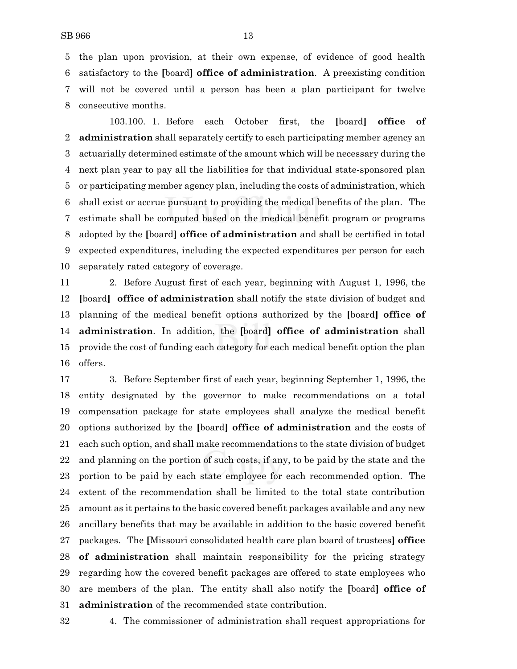the plan upon provision, at their own expense, of evidence of good health satisfactory to the **[**board**] office of administration**. A preexisting condition will not be covered until a person has been a plan participant for twelve consecutive months.

103.100. 1. Before each October first, the **[**board**] office of administration** shall separately certify to each participating member agency an actuarially determined estimate of the amount which will be necessary during the next plan year to pay all the liabilities for that individual state-sponsored plan or participating member agency plan, including the costs of administration, which shall exist or accrue pursuant to providing the medical benefits of the plan. The estimate shall be computed based on the medical benefit program or programs adopted by the **[**board**] office of administration** and shall be certified in total expected expenditures, including the expected expenditures per person for each separately rated category of coverage.

 2. Before August first of each year, beginning with August 1, 1996, the **[**board**] office of administration** shall notify the state division of budget and planning of the medical benefit options authorized by the **[**board**] office of administration**. In addition, the **[**board**] office of administration** shall provide the cost of funding each category for each medical benefit option the plan offers.

 3. Before September first of each year, beginning September 1, 1996, the entity designated by the governor to make recommendations on a total compensation package for state employees shall analyze the medical benefit options authorized by the **[**board**] office of administration** and the costs of each such option, and shall make recommendations to the state division of budget and planning on the portion of such costs, if any, to be paid by the state and the portion to be paid by each state employee for each recommended option. The extent of the recommendation shall be limited to the total state contribution amount as it pertains to the basic covered benefit packages available and any new ancillary benefits that may be available in addition to the basic covered benefit packages. The **[**Missouri consolidated health care plan board of trustees**] office of administration** shall maintain responsibility for the pricing strategy regarding how the covered benefit packages are offered to state employees who are members of the plan. The entity shall also notify the **[**board**] office of administration** of the recommended state contribution.

4. The commissioner of administration shall request appropriations for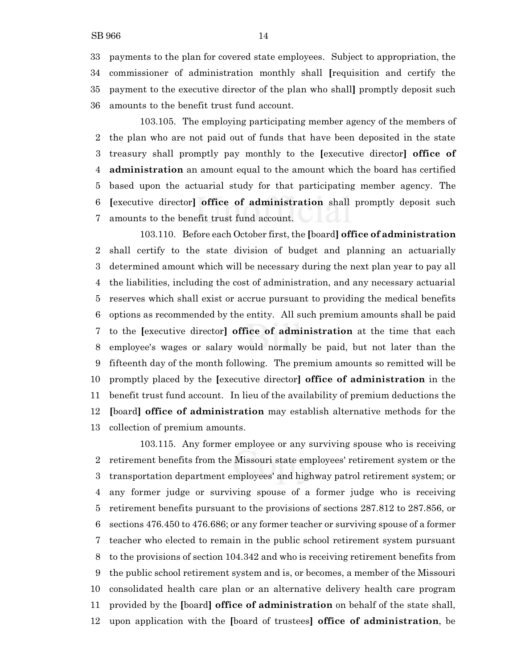payments to the plan for covered state employees. Subject to appropriation, the commissioner of administration monthly shall **[**requisition and certify the payment to the executive director of the plan who shall**]** promptly deposit such amounts to the benefit trust fund account.

103.105. The employing participating member agency of the members of the plan who are not paid out of funds that have been deposited in the state treasury shall promptly pay monthly to the **[**executive director**] office of administration** an amount equal to the amount which the board has certified based upon the actuarial study for that participating member agency. The **[**executive director**] office of administration** shall promptly deposit such amounts to the benefit trust fund account.

103.110. Before each October first, the **[**board**] office of administration** shall certify to the state division of budget and planning an actuarially determined amount which will be necessary during the next plan year to pay all the liabilities, including the cost of administration, and any necessary actuarial reserves which shall exist or accrue pursuant to providing the medical benefits options as recommended by the entity. All such premium amounts shall be paid to the **[**executive director**] office of administration** at the time that each employee's wages or salary would normally be paid, but not later than the fifteenth day of the month following. The premium amounts so remitted will be promptly placed by the **[**executive director**] office of administration** in the benefit trust fund account. In lieu of the availability of premium deductions the **[**board**] office of administration** may establish alternative methods for the collection of premium amounts.

103.115. Any former employee or any surviving spouse who is receiving retirement benefits from the Missouri state employees' retirement system or the transportation department employees' and highway patrol retirement system; or any former judge or surviving spouse of a former judge who is receiving retirement benefits pursuant to the provisions of sections 287.812 to 287.856, or sections 476.450 to 476.686; or any former teacher or surviving spouse of a former teacher who elected to remain in the public school retirement system pursuant to the provisions of section 104.342 and who is receiving retirement benefits from the public school retirement system and is, or becomes, a member of the Missouri consolidated health care plan or an alternative delivery health care program provided by the **[**board**] office of administration** on behalf of the state shall, upon application with the **[**board of trustees**] office of administration**, be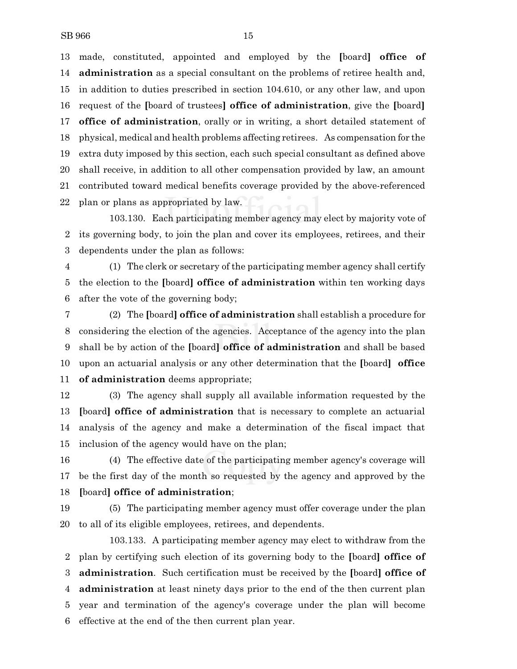made, constituted, appointed and employed by the **[**board**] office of administration** as a special consultant on the problems of retiree health and, in addition to duties prescribed in section 104.610, or any other law, and upon request of the **[**board of trustees**] office of administration**, give the **[**board**] office of administration**, orally or in writing, a short detailed statement of physical, medical and health problems affecting retirees. As compensation for the extra duty imposed by this section, each such special consultant as defined above shall receive, in addition to all other compensation provided by law, an amount contributed toward medical benefits coverage provided by the above-referenced plan or plans as appropriated by law.

103.130. Each participating member agency may elect by majority vote of its governing body, to join the plan and cover its employees, retirees, and their dependents under the plan as follows:

 (1) The clerk or secretary of the participating member agency shall certify the election to the **[**board**] office of administration** within ten working days after the vote of the governing body;

 (2) The **[**board**] office of administration** shall establish a procedure for considering the election of the agencies. Acceptance of the agency into the plan shall be by action of the **[**board**] office of administration** and shall be based upon an actuarial analysis or any other determination that the **[**board**] office of administration** deems appropriate;

 (3) The agency shall supply all available information requested by the **[**board**] office of administration** that is necessary to complete an actuarial analysis of the agency and make a determination of the fiscal impact that inclusion of the agency would have on the plan;

 (4) The effective date of the participating member agency's coverage will be the first day of the month so requested by the agency and approved by the **[**board**] office of administration**;

 (5) The participating member agency must offer coverage under the plan to all of its eligible employees, retirees, and dependents.

103.133. A participating member agency may elect to withdraw from the plan by certifying such election of its governing body to the **[**board**] office of administration**. Such certification must be received by the **[**board**] office of administration** at least ninety days prior to the end of the then current plan year and termination of the agency's coverage under the plan will become effective at the end of the then current plan year.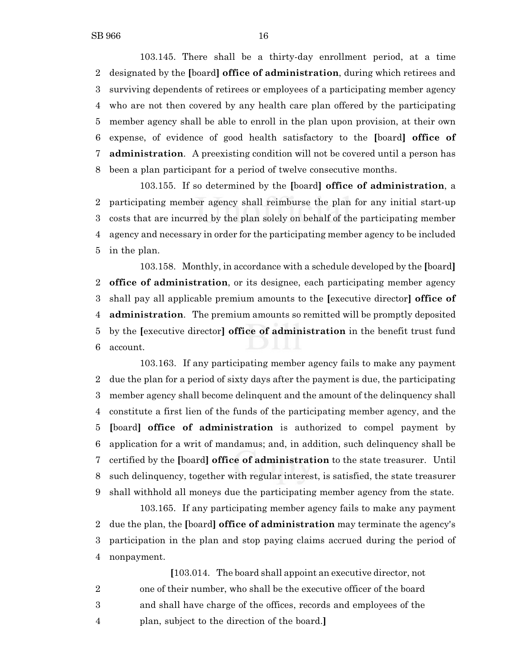103.145. There shall be a thirty-day enrollment period, at a time designated by the **[**board**] office of administration**, during which retirees and surviving dependents of retirees or employees of a participating member agency who are not then covered by any health care plan offered by the participating member agency shall be able to enroll in the plan upon provision, at their own expense, of evidence of good health satisfactory to the **[**board**] office of administration**. A preexisting condition will not be covered until a person has been a plan participant for a period of twelve consecutive months.

103.155. If so determined by the **[**board**] office of administration**, a participating member agency shall reimburse the plan for any initial start-up costs that are incurred by the plan solely on behalf of the participating member agency and necessary in order for the participating member agency to be included in the plan.

103.158. Monthly, in accordance with a schedule developed by the **[**board**] office of administration**, or its designee, each participating member agency shall pay all applicable premium amounts to the **[**executive director**] office of administration**. The premium amounts so remitted will be promptly deposited by the **[**executive director**] office of administration** in the benefit trust fund account.

103.163. If any participating member agency fails to make any payment due the plan for a period of sixty days after the payment is due, the participating member agency shall become delinquent and the amount of the delinquency shall constitute a first lien of the funds of the participating member agency, and the **[**board**] office of administration** is authorized to compel payment by application for a writ of mandamus; and, in addition, such delinquency shall be certified by the **[**board**] office of administration** to the state treasurer. Until such delinquency, together with regular interest, is satisfied, the state treasurer shall withhold all moneys due the participating member agency from the state.

103.165. If any participating member agency fails to make any payment due the plan, the **[**board**] office of administration** may terminate the agency's participation in the plan and stop paying claims accrued during the period of nonpayment.

**[**103.014. The board shall appoint an executive director, not one of their number, who shall be the executive officer of the board and shall have charge of the offices, records and employees of the plan, subject to the direction of the board.**]**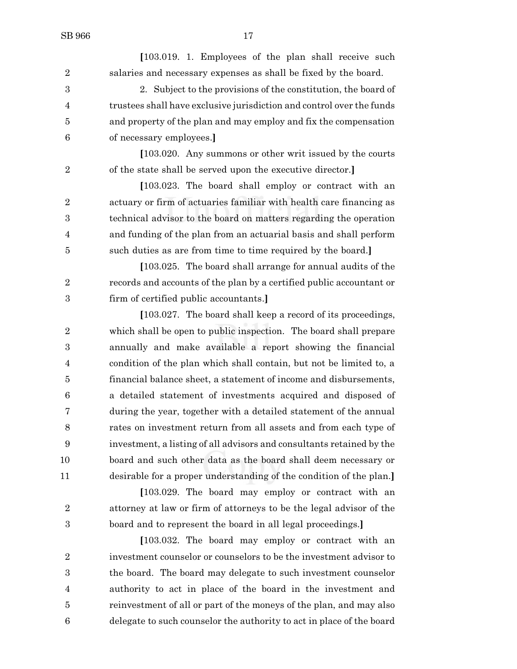**[**103.019. 1. Employees of the plan shall receive such salaries and necessary expenses as shall be fixed by the board. 2. Subject to the provisions of the constitution, the board of trustees shall have exclusive jurisdiction and control over the funds and property of the plan and may employ and fix the compensation of necessary employees.**] [**103.020. Any summons or other writ issued by the courts of the state shall be served upon the executive director.**] [**103.023. The board shall employ or contract with an actuary or firm of actuaries familiar with health care financing as technical advisor to the board on matters regarding the operation and funding of the plan from an actuarial basis and shall perform such duties as are from time to time required by the board.**] [**103.025. The board shall arrange for annual audits of the records and accounts of the plan by a certified public accountant or firm of certified public accountants.**] [**103.027. The board shall keep a record of its proceedings, which shall be open to public inspection. The board shall prepare annually and make available a report showing the financial condition of the plan which shall contain, but not be limited to, a financial balance sheet, a statement of income and disbursements, a detailed statement of investments acquired and disposed of during the year, together with a detailed statement of the annual rates on investment return from all assets and from each type of investment, a listing of all advisors and consultants retained by the board and such other data as the board shall deem necessary or desirable for a proper understanding of the condition of the plan.**] [**103.029. The board may employ or contract with an attorney at law or firm of attorneys to be the legal advisor of the board and to represent the board in all legal proceedings.**] [**103.032. The board may employ or contract with an investment counselor or counselors to be the investment advisor to the board. The board may delegate to such investment counselor

 reinvestment of all or part of the moneys of the plan, and may also delegate to such counselor the authority to act in place of the board

authority to act in place of the board in the investment and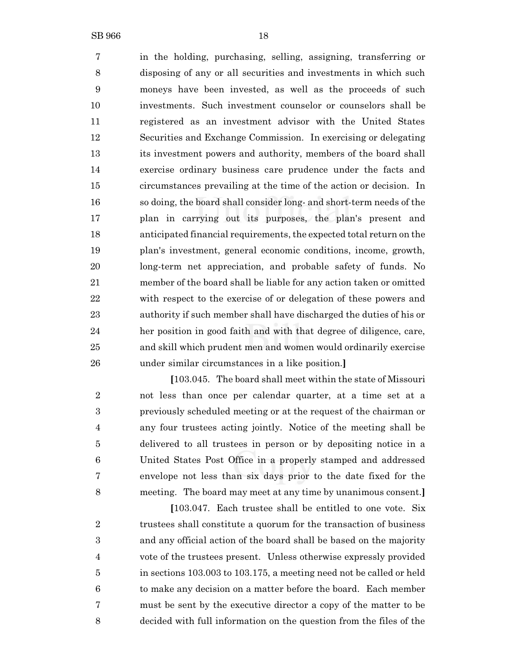in the holding, purchasing, selling, assigning, transferring or disposing of any or all securities and investments in which such moneys have been invested, as well as the proceeds of such investments. Such investment counselor or counselors shall be registered as an investment advisor with the United States Securities and Exchange Commission. In exercising or delegating its investment powers and authority, members of the board shall exercise ordinary business care prudence under the facts and circumstances prevailing at the time of the action or decision. In so doing, the board shall consider long- and short-term needs of the plan in carrying out its purposes, the plan's present and anticipated financial requirements,the expected total return on the plan's investment, general economic conditions, income, growth, long-term net appreciation, and probable safety of funds. No member of the board shall be liable for any action taken or omitted with respect to the exercise of or delegation of these powers and authority if such member shall have discharged the duties of his or her position in good faith and with that degree of diligence, care, and skill which prudent men and women would ordinarily exercise under similar circumstances in a like position.**]**

**[**103.045. The board shall meet within the state of Missouri not less than once per calendar quarter, at a time set at a previously scheduled meeting or at the request of the chairman or any four trustees acting jointly. Notice of the meeting shall be delivered to all trustees in person or by depositing notice in a United States Post Office in a properly stamped and addressed envelope not less than six days prior to the date fixed for the meeting. The board may meet at any time by unanimous consent.**]**

**[**103.047. Each trustee shall be entitled to one vote. Six 2 trustees shall constitute a quorum for the transaction of business and any official action of the board shall be based on the majority vote of the trustees present. Unless otherwise expressly provided in sections 103.003 to 103.175, a meeting need not be called or held to make any decision on a matter before the board. Each member must be sent by the executive director a copy of the matter to be decided with full information on the question from the files of the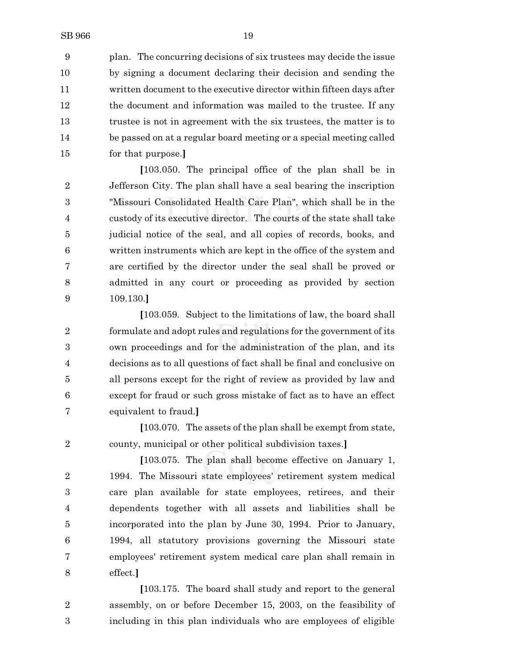plan. The concurring decisions of six trustees may decide the issue by signing a document declaring their decision and sending the written document to the executive director within fifteen days after the document and information was mailed to the trustee. If any trustee is not in agreement with the six trustees, the matter is to be passed on at a regular board meeting or a special meeting called for that purpose.**]**

**[**103.050. The principal office of the plan shall be in Jefferson City. The plan shall have a seal bearing the inscription "Missouri Consolidated Health Care Plan", which shall be in the custody of its executive director. The courts of the state shall take judicial notice of the seal, and all copies of records, books, and written instruments which are kept in the office of the system and are certified by the director under the seal shall be proved or admitted in any court or proceeding as provided by section 109.130.**]**

**[**103.059. Subject to the limitations of law, the board shall 2 formulate and adopt rules and regulations for the government of its own proceedings and for the administration of the plan, and its decisions as to all questions of fact shall be final and conclusive on all persons except for the right of review as provided by law and except for fraud or such gross mistake of fact as to have an effect equivalent to fraud.**]**

**[**103.070. The assets of the plan shall be exempt from state, county, municipal or other political subdivision taxes.**]**

**[**103.075. The plan shall become effective on January 1, 1994. The Missouri state employees' retirement system medical care plan available for state employees, retirees, and their dependents together with all assets and liabilities shall be incorporated into the plan by June 30, 1994. Prior to January, 1994, all statutory provisions governing the Missouri state employees' retirement system medical care plan shall remain in effect.**]**

**[**103.175. The board shall study and report to the general assembly, on or before December 15, 2003, on the feasibility of including in this plan individuals who are employees of eligible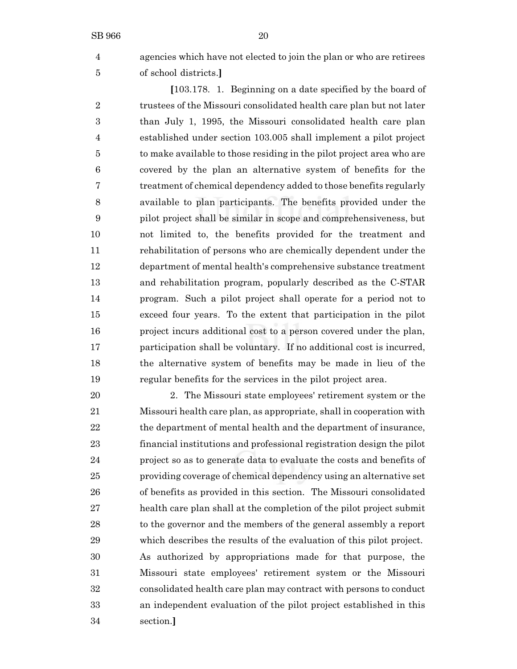agencies which have not elected to join the plan or who are retirees of school districts.**]**

**[**103.178. 1. Beginning on a date specified by the board of 2 trustees of the Missouri consolidated health care plan but not later than July 1, 1995, the Missouri consolidated health care plan established under section 103.005 shall implement a pilot project to make available to those residing in the pilot project area who are covered by the plan an alternative system of benefits for the treatment of chemical dependency added to those benefits regularly available to plan participants. The benefits provided under the pilot project shall be similar in scope and comprehensiveness, but not limited to, the benefits provided for the treatment and rehabilitation of persons who are chemically dependent under the department of mental health's comprehensive substance treatment and rehabilitation program, popularly described as the C-STAR program. Such a pilot project shall operate for a period not to exceed four years. To the extent that participation in the pilot project incurs additional cost to a person covered under the plan, participation shall be voluntary. If no additional cost is incurred, the alternative system of benefits may be made in lieu of the regular benefits for the services in the pilot project area.

 2. The Missouri state employees' retirement system or the Missouri health care plan, as appropriate, shall in cooperation with the department of mental health and the department of insurance, financial institutions and professional registration design the pilot project so as to generate data to evaluate the costs and benefits of providing coverage of chemical dependency using an alternative set of benefits as provided in this section. The Missouri consolidated health care plan shall at the completion of the pilot project submit to the governor and the members of the general assembly a report which describes the results of the evaluation of this pilot project. As authorized by appropriations made for that purpose, the Missouri state employees' retirement system or the Missouri consolidated health care plan may contract with persons to conduct an independent evaluation of the pilot project established in this section.**]**